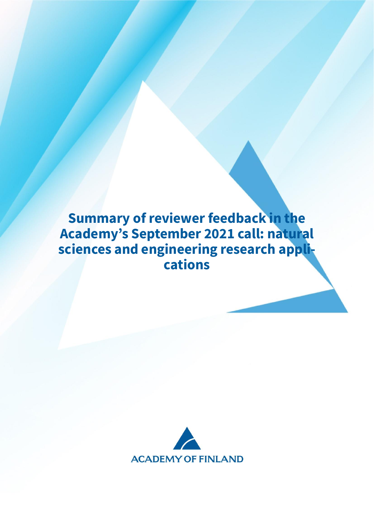# **Summary of reviewer feedback in the Academy's September 2021 call: natural sciences and engineering research applications**

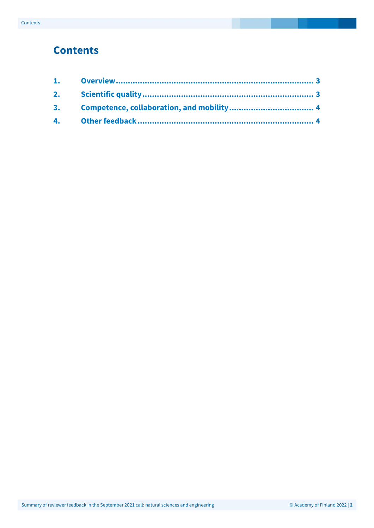### **Contents**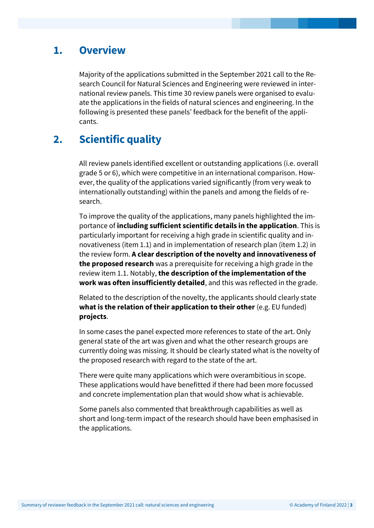#### <span id="page-2-0"></span>**1. Overview**

Majority of the applications submitted in the September 2021 call to the Research Council for Natural Sciences and Engineering were reviewed in international review panels. This time 30 review panels were organised to evaluate the applications in the fields of natural sciences and engineering. In the following is presented these panels' feedback for the benefit of the applicants.

#### <span id="page-2-1"></span>**2. Scientific quality**

All review panels identified excellent or outstanding applications (i.e. overall grade 5 or 6), which were competitive in an international comparison. However, the quality of the applications varied significantly (from very weak to internationally outstanding) within the panels and among the fields of research.

To improve the quality of the applications, many panels highlighted the importance of **including sufficient scientific details in the application**. This is particularly important for receiving a high grade in scientific quality and innovativeness (item 1.1) and in implementation of research plan (item 1.2) in the review form. **A clear description of the novelty and innovativeness of the proposed research** was a prerequisite for receiving a high grade in the review item 1.1. Notably, **the description of the implementation of the work was often insufficiently detailed**, and this was reflected in the grade.

Related to the description of the novelty, the applicants should clearly state **what is the relation of their application to their other** (e.g. EU funded) **projects**.

In some cases the panel expected more references to state of the art. Only general state of the art was given and what the other research groups are currently doing was missing. It should be clearly stated what is the novelty of the proposed research with regard to the state of the art.

There were quite many applications which were overambitious in scope. These applications would have benefitted if there had been more focussed and concrete implementation plan that would show what is achievable.

Some panels also commented that breakthrough capabilities as well as short and long-term impact of the research should have been emphasised in the applications.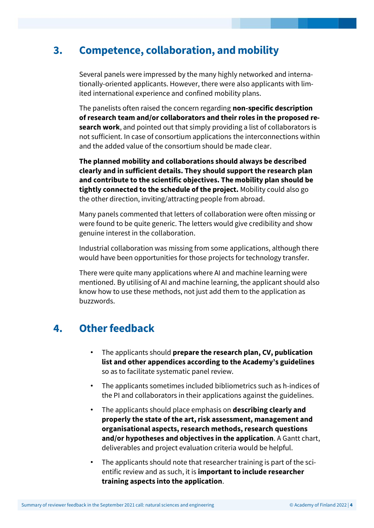#### <span id="page-3-0"></span>**3. Competence, collaboration, and mobility**

Several panels were impressed by the many highly networked and internationally-oriented applicants. However, there were also applicants with limited international experience and confined mobility plans.

The panelists often raised the concern regarding **non-specific description of research team and/or collaborators and their roles in the proposed research work**, and pointed out that simply providing a list of collaborators is not sufficient. In case of consortium applications the interconnections within and the added value of the consortium should be made clear.

**The planned mobility and collaborations should always be described clearly and in sufficient details. They should support the research plan and contribute to the scientific objectives. The mobility plan should be tightly connected to the schedule of the project.** Mobility could also go the other direction, inviting/attracting people from abroad.

Many panels commented that letters of collaboration were often missing or were found to be quite generic. The letters would give credibility and show genuine interest in the collaboration.

Industrial collaboration was missing from some applications, although there would have been opportunities for those projects for technology transfer.

There were quite many applications where AI and machine learning were mentioned. By utilising of AI and machine learning, the applicant should also know how to use these methods, not just add them to the application as buzzwords.

## <span id="page-3-1"></span>**4. Other feedback**

- The applicants should **prepare the research plan, CV, publication list and other appendices according to the Academy's guidelines** so as to facilitate systematic panel review.
- The applicants sometimes included bibliometrics such as h-indices of the PI and collaborators in their applications against the guidelines.
- The applicants should place emphasis on **describing clearly and properly the state of the art, risk assessment, management and organisational aspects, research methods, research questions and/or hypotheses and objectives in the application**. A Gantt chart, deliverables and project evaluation criteria would be helpful.
- The applicants should note that researcher training is part of the scientific review and as such, it is **important to include researcher training aspects into the application**.